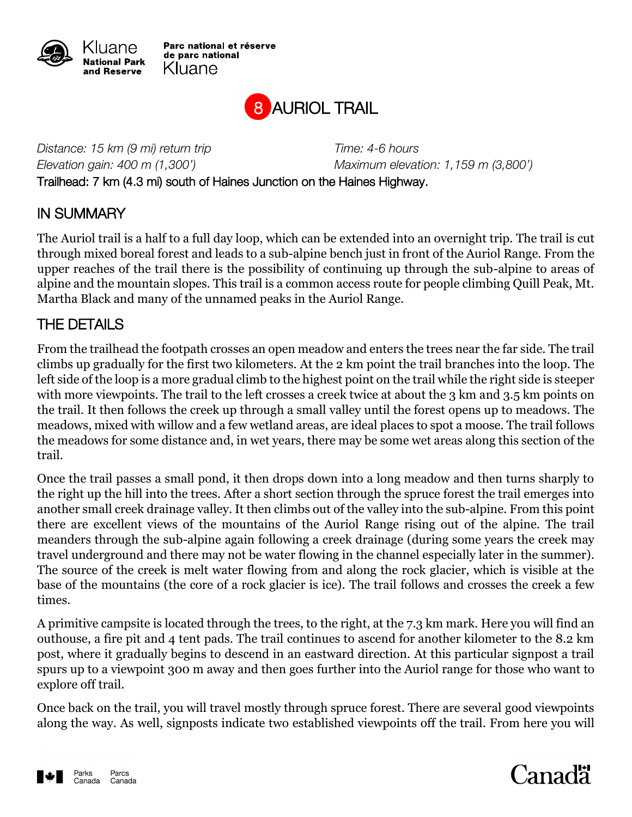

Parc national et réserve de parc national Kluane



*Distance: 15 km (9 mi) return trip Time: 4-6 hours Elevation gain: 400 m (1,300') Maximum elevation: 1,159 m (3,800')* Trailhead: 7 km (4.3 mi) south of Haines Junction on the Haines Highway.

## IN SUMMARY

The Auriol trail is a half to a full day loop, which can be extended into an overnight trip. The trail is cut through mixed boreal forest and leads to a sub-alpine bench just in front of the Auriol Range. From the upper reaches of the trail there is the possibility of continuing up through the sub-alpine to areas of alpine and the mountain slopes. This trail is a common access route for people climbing Quill Peak, Mt. Martha Black and many of the unnamed peaks in the Auriol Range.

## THE DETAILS

From the trailhead the footpath crosses an open meadow and enters the trees near the far side. The trail climbs up gradually for the first two kilometers. At the 2 km point the trail branches into the loop. The left side of the loop is a more gradual climb to the highest point on the trail while the right side is steeper with more viewpoints. The trail to the left crosses a creek twice at about the 3 km and 3.5 km points on the trail. It then follows the creek up through a small valley until the forest opens up to meadows. The meadows, mixed with willow and a few wetland areas, are ideal places to spot a moose. The trail follows the meadows for some distance and, in wet years, there may be some wet areas along this section of the trail.

Once the trail passes a small pond, it then drops down into a long meadow and then turns sharply to the right up the hill into the trees. After a short section through the spruce forest the trail emerges into another small creek drainage valley. It then climbs out of the valley into the sub-alpine. From this point there are excellent views of the mountains of the Auriol Range rising out of the alpine. The trail meanders through the sub-alpine again following a creek drainage (during some years the creek may travel underground and there may not be water flowing in the channel especially later in the summer). The source of the creek is melt water flowing from and along the rock glacier, which is visible at the base of the mountains (the core of a rock glacier is ice). The trail follows and crosses the creek a few times.

A primitive campsite is located through the trees, to the right, at the 7.3 km mark. Here you will find an outhouse, a fire pit and 4 tent pads. The trail continues to ascend for another kilometer to the 8.2 km post, where it gradually begins to descend in an eastward direction. At this particular signpost a trail spurs up to a viewpoint 300 m away and then goes further into the Auriol range for those who want to explore off trail.

Once back on the trail, you will travel mostly through spruce forest. There are several good viewpoints along the way. As well, signposts indicate two established viewpoints off the trail. From here you will



## **Canadä**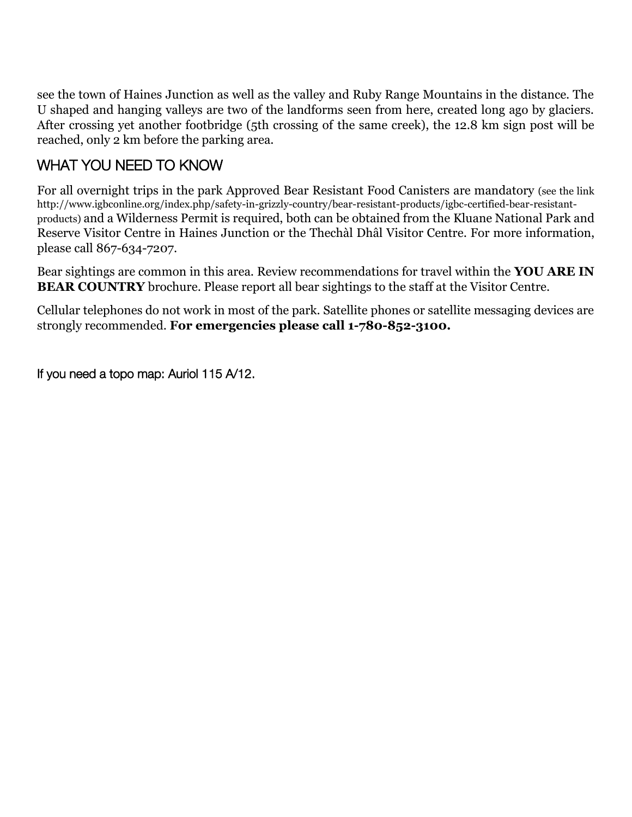see the town of Haines Junction as well as the valley and Ruby Range Mountains in the distance. The U shaped and hanging valleys are two of the landforms seen from here, created long ago by glaciers. After crossing yet another footbridge (5th crossing of the same creek), the 12.8 km sign post will be reached, only 2 km before the parking area.

## WHAT YOU NEED TO KNOW

For all overnight trips in the park Approved Bear Resistant Food Canisters are mandatory (see the link http://www.igbconline.org/index.php/safety-in-grizzly-country/bear-resistant-products/igbc-certified-bear-resistantproducts) and a Wilderness Permit is required, both can be obtained from the Kluane National Park and Reserve Visitor Centre in Haines Junction or the Thechàl Dhâl Visitor Centre. For more information, please call 867-634-7207.

Bear sightings are common in this area. Review recommendations for travel within the **YOU ARE IN BEAR COUNTRY** brochure. Please report all bear sightings to the staff at the Visitor Centre.

Cellular telephones do not work in most of the park. Satellite phones or satellite messaging devices are strongly recommended. **For emergencies please call 1-780-852-3100.**

If you need a topo map: Auriol 115 A/12.